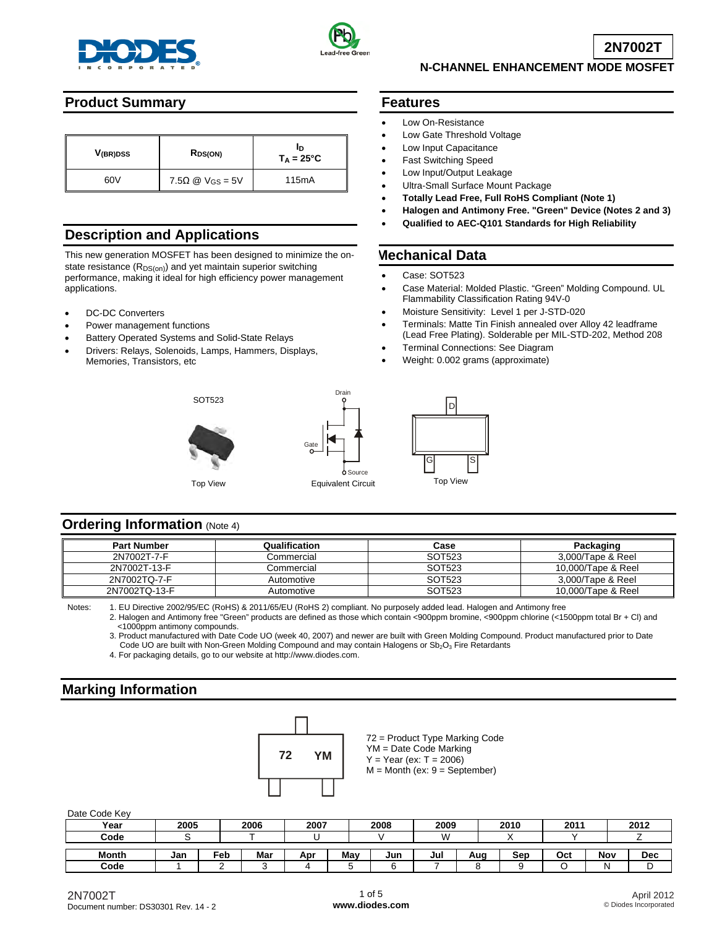



**2N7002T**

## **N-CHANNEL ENHANCEMENT MODE MOSFET**

## **Product Summary**

| V <sub>(BR)DSS</sub> | $R_{DS(ON)}$                        | חו<br>$T_A = 25^{\circ}C$ |
|----------------------|-------------------------------------|---------------------------|
| 60V                  | 7.5 $\Omega$ @ V <sub>GS</sub> = 5V | 115 <sub>m</sub> A        |

## **Description and Applications**

This new generation MOSFET has been designed to minimize the onstate resistance  $(R_{DS(on)})$  and yet maintain superior switching performance, making it ideal for high efficiency power management applications.

- DC-DC Converters
- Power management functions
- Battery Operated Systems and Solid-State Relays
- Drivers: Relays, Solenoids, Lamps, Hammers, Displays, Memories, Transistors, etc



SOT523

### **Features**

- Low On-Resistance
- Low Gate Threshold Voltage
- Low Input Capacitance
- Fast Switching Speed
- Low Input/Output Leakage
- Ultra-Small Surface Mount Package
- **Totally Lead Free, Full RoHS Compliant (Note 1)**
- **Halogen and Antimony Free. "Green" Device (Notes 2 and 3)**
- **Qualified to AEC-Q101 Standards for High Reliability**

#### **Mechanical Data**

- Case: SOT523
- Case Material: Molded Plastic. "Green" Molding Compound. UL Flammability Classification Rating 94V-0
- Moisture Sensitivity: Level 1 per J-STD-020
- Terminals: Matte Tin Finish annealed over Alloy 42 leadframe (Lead Free Plating). Solderable per MIL-STD-202, Method 208
- Terminal Connections: See Diagram
- Weight: 0.002 grams (approximate)



### **Ordering Information (Note 4)**

| <b>Part Number</b> | Qualification | Case   | Packaging          |
|--------------------|---------------|--------|--------------------|
| 2N7002T-7-F        | Commercial    | SOT523 | 3.000/Tape & Reel  |
| 2N7002T-13-F       | Commercial    | SOT523 | 10.000/Tape & Reel |
| 2N7002TQ-7-F       | Automotive    | SOT523 | 3.000/Tape & Reel  |
| 2N7002TQ-13-F      | Automotive    | SOT523 | 10.000/Tape & Reel |

Source

Drain

Notes: 1. EU Directive 2002/95/EC (RoHS) & 2011/65/EU (RoHS 2) compliant. No purposely added lead. Halogen and Antimony free

Gate

 2. Halogen and Antimony free "Green" products are defined as those which contain <900ppm bromine, <900ppm chlorine (<1500ppm total Br + Cl) and <1000ppm antimony compounds.

 3. Product manufactured with Date Code UO (week 40, 2007) and newer are built with Green Molding Compound. Product manufactured prior to Date Code UO are built with Non-Green Molding Compound and may contain Halogens or Sb<sub>2</sub>O<sub>3</sub> Fire Retardants

4. For packaging details, go to our website at [http://www.diodes.com.](http://www.diodes.com)

## **Marking Information**



72 = Product Type Marking Code YM = Date Code Marking  $Y = Year (ex: T = 2006)$ 

 $M =$  Month (ex:  $9 =$  September)

Date Code Key

| 30 <sub>u</sub> |      |     |      |      |     |      |      |     |      |      |     |            |
|-----------------|------|-----|------|------|-----|------|------|-----|------|------|-----|------------|
| Year            | 2005 |     | 2006 | 2007 |     | 2008 | 2009 |     | 2010 | 2011 |     | 2012       |
| Code            |      |     |      |      |     |      | W    |     |      |      |     |            |
|                 |      |     |      |      |     |      |      |     |      |      |     |            |
| <b>Month</b>    | Jan  | Feb | Mar  | Apr  | May | Jun  | Jul  | Aug | Sep  | Oct  | Nov | <b>Dec</b> |
| Code            |      |     |      |      |     |      |      |     |      |      |     |            |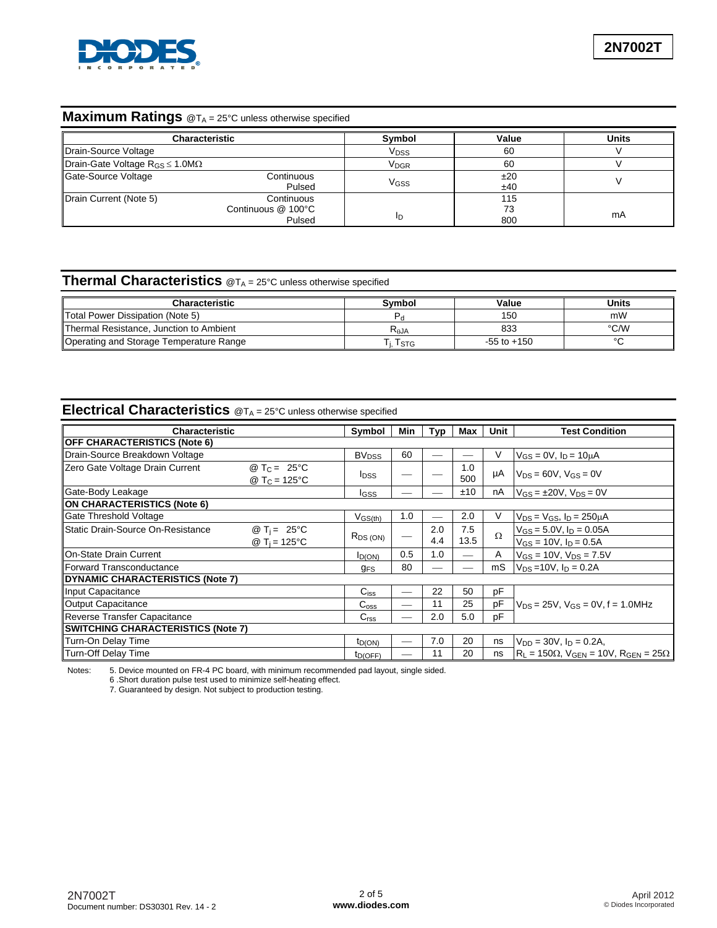

# **Maximum Ratings** @T<sub>A</sub> = 25°C unless otherwise specified

|                                             | <b>Characteristic</b>                      | Symbol                 | Value            | <b>Units</b> |
|---------------------------------------------|--------------------------------------------|------------------------|------------------|--------------|
| Drain-Source Voltage                        |                                            | <b>V<sub>DSS</sub></b> | 60               |              |
| Drain-Gate Voltage $R_{GS} \le 1.0 M\Omega$ |                                            | V <sub>DGR</sub>       | 60               |              |
| Gate-Source Voltage                         | Continuous<br>Pulsed                       | VGSS                   | ±20<br>±40       |              |
| Drain Current (Note 5)                      | Continuous<br>Continuous @ 100°C<br>Pulsed | םו                     | 115<br>73<br>800 | mA           |

## **Thermal Characteristics** @TA = 25°C unless otherwise specified

| Characteristic                          | Svmbol    | Value           | Units  |
|-----------------------------------------|-----------|-----------------|--------|
| Total Power Dissipation (Note 5)        |           | 150             | mW     |
| Thermal Resistance, Junction to Ambient | $R_{AJA}$ | 833             | °C/W   |
| Operating and Storage Temperature Range | I STG     | $-55$ to $+150$ | $\sim$ |

## **Electrical Characteristics** @TA = 25°C unless otherwise specified

| Characteristic                            |                                                   |                           | Min | Typ | Max        | Unit     | <b>Test Condition</b>                                           |
|-------------------------------------------|---------------------------------------------------|---------------------------|-----|-----|------------|----------|-----------------------------------------------------------------|
| <b>OFF CHARACTERISTICS (Note 6)</b>       |                                                   | Symbol                    |     |     |            |          |                                                                 |
| Drain-Source Breakdown Voltage            |                                                   | <b>BV</b> <sub>DSS</sub>  | 60  |     |            | V        | $V_{GS} = 0V$ , $I_D = 10 \mu A$                                |
| Zero Gate Voltage Drain Current           | @ $T_C = 25^{\circ}C$<br>@ T <sub>C</sub> = 125°C | <b>I</b> <sub>DSS</sub>   |     |     | 1.0<br>500 | μA       | $V_{DS}$ = 60V, $V_{GS}$ = 0V                                   |
| Gate-Body Leakage                         |                                                   | IGSS                      |     |     | ±10        | nA       | $V_{GS} = \pm 20V$ , $V_{DS} = 0V$                              |
| <b>ON CHARACTERISTICS (Note 6)</b>        |                                                   |                           |     |     |            |          |                                                                 |
| Gate Threshold Voltage                    |                                                   | $V$ GS $(\underline{th})$ | 1.0 |     | 2.0        | V        | $V_{DS} = V_{GS}$ , $I_D = 250 \mu A$                           |
| lStatic Drain-Source On-Resistance        | @ T <sub>i</sub> = 25 °C                          |                           |     | 2.0 | 7.5        | $\Omega$ | $V_{GS} = 5.0 V$ , $I_D = 0.05 A$                               |
|                                           | @ T <sub>i</sub> = 125°C                          | $R_{DS(ON)}$              |     | 4.4 | 13.5       |          | $V_{GS} = 10V$ , $I_D = 0.5A$                                   |
| <b>On-State Drain Current</b>             |                                                   | $I_{D(ON)}$               | 0.5 | 1.0 |            | A        | $V_{GS}$ = 10V, $V_{DS}$ = 7.5V                                 |
| Forward Transconductance                  |                                                   | <b>GFS</b>                | 80  |     |            | mS       | $V_{DS}$ =10V, $I_D$ = 0.2A                                     |
| <b>DYNAMIC CHARACTERISTICS (Note 7)</b>   |                                                   |                           |     |     |            |          |                                                                 |
| Input Capacitance                         |                                                   | $C_{iss}$                 |     | 22  | 50         | pF       |                                                                 |
| Output Capacitance                        |                                                   | $C_{\rm oss}$             |     | 11  | 25         | pF       | $V_{DS}$ = 25V, $V_{GS}$ = 0V, f = 1.0MHz                       |
| Reverse Transfer Capacitance              |                                                   | C <sub>rss</sub>          |     | 2.0 | 5.0        | рF       |                                                                 |
| <b>SWITCHING CHARACTERISTICS (Note 7)</b> |                                                   |                           |     |     |            |          |                                                                 |
| Turn-On Delay Time                        |                                                   | t <sub>D</sub> (ON)       |     | 7.0 | 20         | ns       | $V_{DD} = 30V$ , $I_D = 0.2A$ ,                                 |
| Turn-Off Delay Time                       |                                                   | tp(OFF)                   |     | 11  | 20         | ns       | $R_L$ = 150 $\Omega$ , $V_{GEN}$ = 10V, $R_{GEN}$ = 25 $\Omega$ |

Notes: 5. Device mounted on FR-4 PC board, with minimum recommended pad layout, single sided.

6 .Short duration pulse test used to minimize self-heating effect.

7. Guaranteed by design. Not subject to production testing.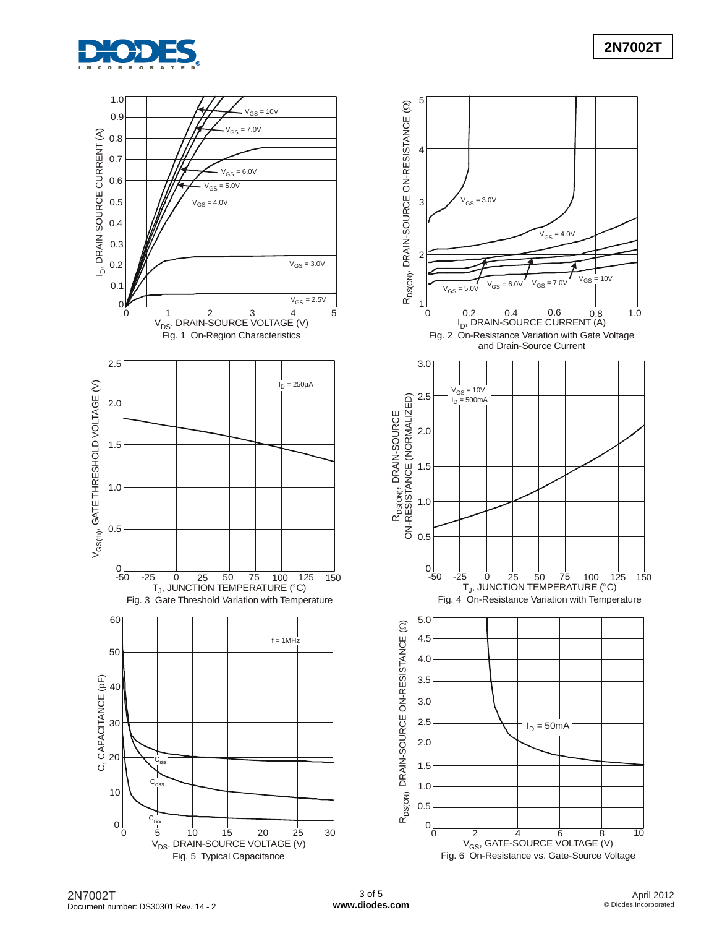

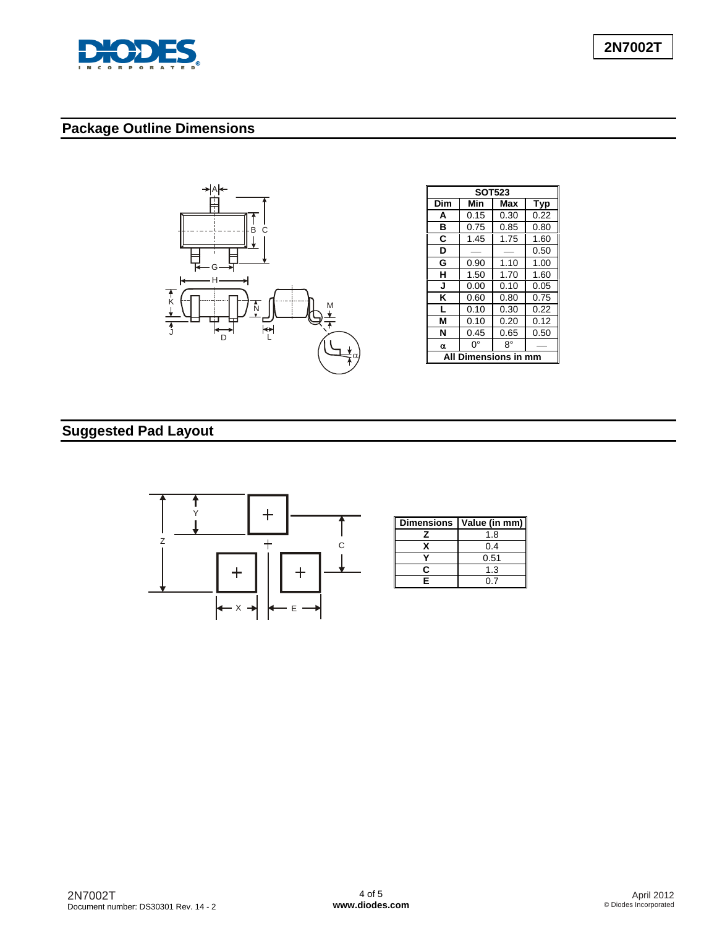

# **Package Outline Dimensions**



| <b>SOT523</b>     |      |      |      |  |  |  |
|-------------------|------|------|------|--|--|--|
| Dim               | Min  | Max  | Typ  |  |  |  |
| A                 | 0.15 | 0.30 | 0.22 |  |  |  |
| в                 | 0.75 | 0.85 | 0.80 |  |  |  |
| C                 | 1.45 | 1.75 | 1.60 |  |  |  |
| D                 |      |      | 0.50 |  |  |  |
| G                 | 0.90 | 1.10 | 1.00 |  |  |  |
| н                 | 1.50 | 1.70 | 1.60 |  |  |  |
| J                 | 0.00 | 0.10 | 0.05 |  |  |  |
| Κ                 | 0.60 | 0.80 | 0.75 |  |  |  |
| L                 | 0.10 | 0.30 | 0.22 |  |  |  |
| M                 | 0.10 | 0.20 | 0.12 |  |  |  |
| N                 | 0.45 | 0.65 | 0.50 |  |  |  |
| α                 | n۰   | R۰   |      |  |  |  |
| <b>Dimensions</b> |      |      |      |  |  |  |

# **Suggested Pad Layout**



| <b>Dimensions</b> | Value (in mm) |
|-------------------|---------------|
|                   | 1.8           |
|                   | 0.4           |
|                   | 0.51          |
|                   | 1.3           |
| F.                |               |